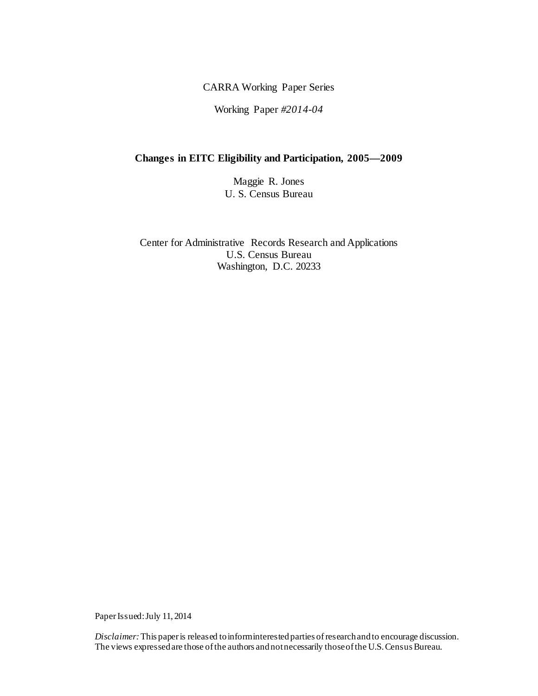CARRA Working Paper Series

Working Paper *#2014-04*

# **Changes in EITC Eligibility and Participation, 2005—2009**

Maggie R. Jones U. S. Census Bureau

Center for Administrative Records Research and Applications U.S. Census Bureau Washington, D.C. 20233

Paper Issued: July 11, 2014

*Disclaimer:* This paperis released to inform interested parties of research and to encourage discussion. The views expressed are those of the authors and not necessarily those of the U.S. Census Bureau.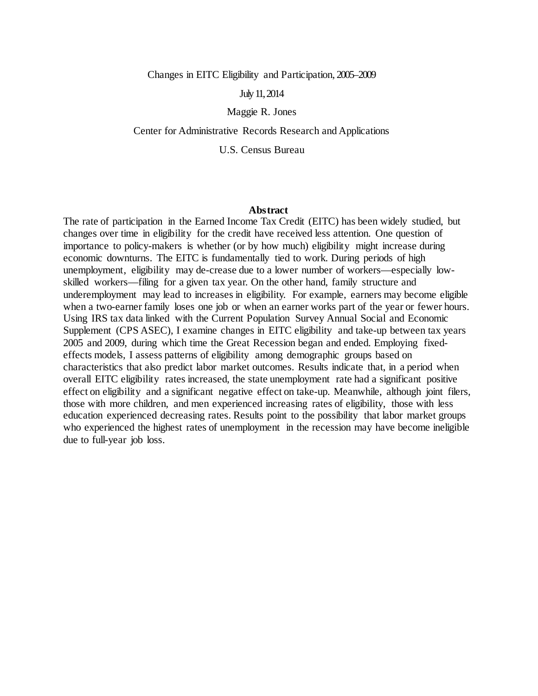Changes in EITC Eligibility and Participation, 2005–2009

July11, 2014

Maggie R. Jones

Center for Administrative Records Research and Applications

U.S. Census Bureau

#### **Abstract**

The rate of participation in the Earned Income Tax Credit (EITC) has been widely studied, but changes over time in eligibility for the credit have received less attention. One question of importance to policy-makers is whether (or by how much) eligibility might increase during economic downturns. The EITC is fundamentally tied to work. During periods of high unemployment, eligibility may de-crease due to a lower number of workers—especially lowskilled workers—filing for a given tax year. On the other hand, family structure and underemployment may lead to increases in eligibility. For example, earners may become eligible when a two-earner family loses one job or when an earner works part of the year or fewer hours. Using IRS tax data linked with the Current Population Survey Annual Social and Economic Supplement (CPS ASEC), I examine changes in EITC eligibility and take-up between tax years 2005 and 2009, during which time the Great Recession began and ended. Employing fixedeffects models, I assess patterns of eligibility among demographic groups based on characteristics that also predict labor market outcomes. Results indicate that, in a period when overall EITC eligibility rates increased, the state unemployment rate had a significant positive effect on eligibility and a significant negative effect on take-up. Meanwhile, although joint filers, those with more children, and men experienced increasing rates of eligibility, those with less education experienced decreasing rates. Results point to the possibility that labor market groups who experienced the highest rates of unemployment in the recession may have become ineligible due to full-year job loss.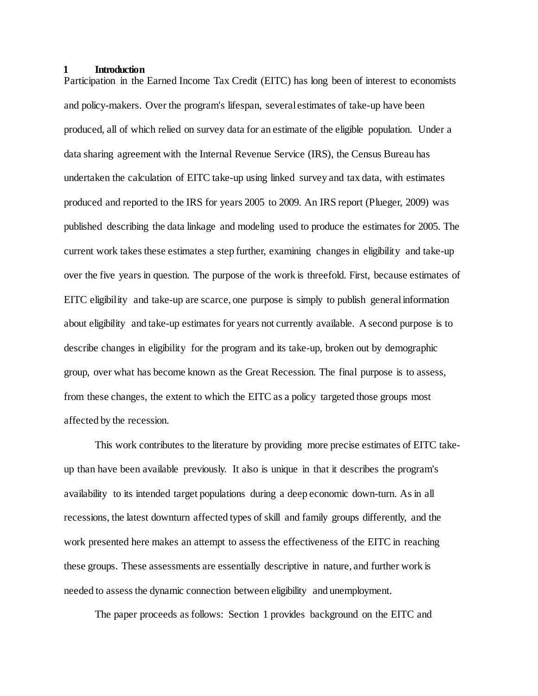#### **1 Introduction**

Participation in the Earned Income Tax Credit (EITC) has long been of interest to economists and policy-makers. Over the program's lifespan, several estimates of take-up have been produced, all of which relied on survey data for an estimate of the eligible population. Under a data sharing agreement with the Internal Revenue Service (IRS), the Census Bureau has undertaken the calculation of EITC take-up using linked survey and tax data, with estimates produced and reported to the IRS for years 2005 to 2009. An IRS report (Plueger, 2009) was published describing the data linkage and modeling used to produce the estimates for 2005. The current work takes these estimates a step further, examining changes in eligibility and take-up over the five years in question. The purpose of the work is threefold. First, because estimates of EITC eligibility and take-up are scarce, one purpose is simply to publish general information about eligibility and take-up estimates for years not currently available. A second purpose is to describe changes in eligibility for the program and its take-up, broken out by demographic group, over what has become known as the Great Recession. The final purpose is to assess, from these changes, the extent to which the EITC as a policy targeted those groups most affected by the recession.

This work contributes to the literature by providing more precise estimates of EITC takeup than have been available previously. It also is unique in that it describes the program's availability to its intended target populations during a deep economic down-turn. As in all recessions, the latest downturn affected types of skill and family groups differently, and the work presented here makes an attempt to assess the effectiveness of the EITC in reaching these groups. These assessments are essentially descriptive in nature, and further work is needed to assess the dynamic connection between eligibility and unemployment.

The paper proceeds as follows: Section 1 provides background on the EITC and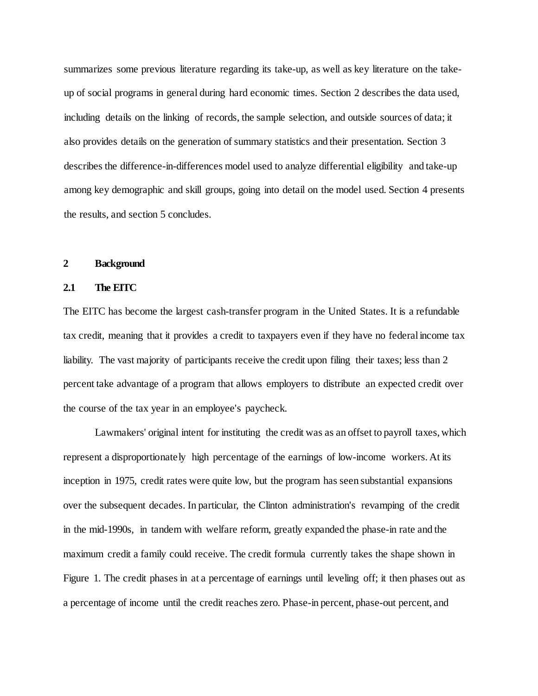summarizes some previous literature regarding its take-up, as well as key literature on the takeup of social programs in general during hard economic times. Section 2 describes the data used, including details on the linking of records, the sample selection, and outside sources of data; it also provides details on the generation of summary statistics and their presentation. Section 3 describes the difference-in-differences model used to analyze differential eligibility and take-up among key demographic and skill groups, going into detail on the model used. Section 4 presents the results, and section 5 concludes.

## **2 Background**

### **2.1 The EITC**

The EITC has become the largest cash-transfer program in the United States. It is a refundable tax credit, meaning that it provides a credit to taxpayers even if they have no federal income tax liability. The vast majority of participants receive the credit upon filing their taxes; less than 2 percent take advantage of a program that allows employers to distribute an expected credit over the course of the tax year in an employee's paycheck.

Lawmakers' original intent for instituting the credit was as an offset to payroll taxes, which represent a disproportionately high percentage of the earnings of low-income workers. At its inception in 1975, credit rates were quite low, but the program has seen substantial expansions over the subsequent decades. In particular, the Clinton administration's revamping of the credit in the mid-1990s, in tandem with welfare reform, greatly expanded the phase-in rate and the maximum credit a family could receive. The credit formula currently takes the shape shown in Figure 1. The credit phases in at a percentage of earnings until leveling off; it then phases out as a percentage of income until the credit reaches zero. Phase-in percent, phase-out percent, and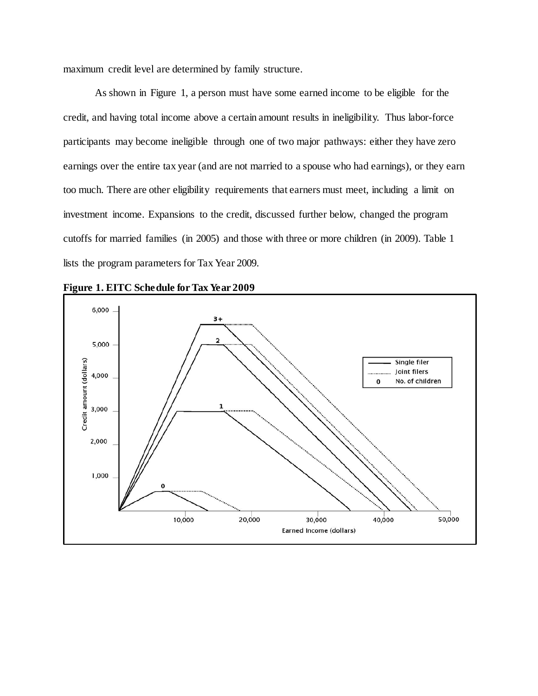maximum credit level are determined by family structure.

As shown in Figure 1, a person must have some earned income to be eligible for the credit, and having total income above a certain amount results in ineligibility. Thus labor-force participants may become ineligible through one of two major pathways: either they have zero earnings over the entire tax year (and are not married to a spouse who had earnings), or they earn too much. There are other eligibility requirements that earners must meet, including a limit on investment income. Expansions to the credit, discussed further below, changed the program cutoffs for married families (in 2005) and those with three or more children (in 2009). Table 1 lists the program parameters for Tax Year 2009.

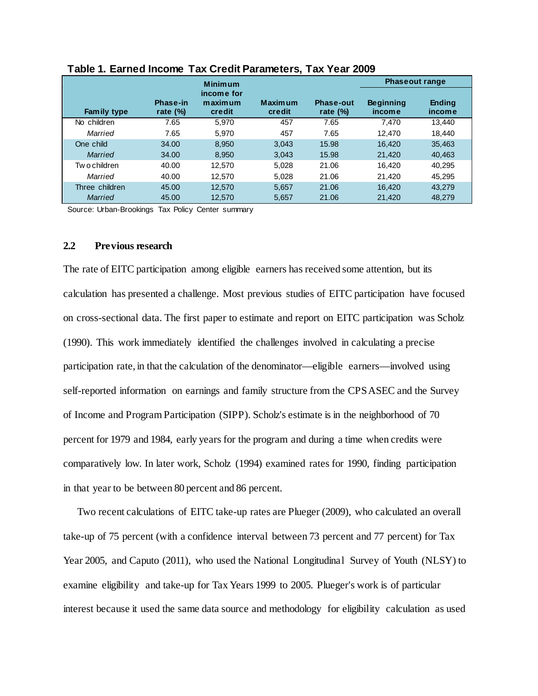|                |                         | <b>Minimum</b>                         |                          |                                 | <b>Phaseout range</b>      |                         |
|----------------|-------------------------|----------------------------------------|--------------------------|---------------------------------|----------------------------|-------------------------|
| Family type    | Phase-in<br>rate $(\%)$ | income for<br>maximum<br><b>credit</b> | <b>Maximum</b><br>credit | <b>Phase-out</b><br>rate $(\%)$ | <b>Beginning</b><br>income | <b>Ending</b><br>income |
| No children    | 7.65                    | 5.970                                  | 457                      | 7.65                            | 7.470                      | 13,440                  |
| Married        | 7.65                    | 5.970                                  | 457                      | 7.65                            | 12.470                     | 18.440                  |
| One child      | 34.00                   | 8.950                                  | 3.043                    | 15.98                           | 16.420                     | 35,463                  |
| <b>Married</b> | 34.00                   | 8.950                                  | 3.043                    | 15.98                           | 21,420                     | 40,463                  |
| Two children   | 40.00                   | 12,570                                 | 5,028                    | 21.06                           | 16.420                     | 40.295                  |
| Married        | 40.00                   | 12.570                                 | 5.028                    | 21.06                           | 21,420                     | 45.295                  |
| Three children | 45.00                   | 12.570                                 | 5,657                    | 21.06                           | 16,420                     | 43,279                  |
| <b>Married</b> | 45.00                   | 12.570                                 | 5,657                    | 21.06                           | 21,420                     | 48.279                  |

**Table 1. Earned Income Tax Credit Parameters, Tax Year 2009**

Source: Urban-Brookings Tax Policy Center summary

## **2.2 Previous research**

The rate of EITC participation among eligible earners has received some attention, but its calculation has presented a challenge. Most previous studies of EITC participation have focused on cross-sectional data. The first paper to estimate and report on EITC participation was Scholz (1990). This work immediately identified the challenges involved in calculating a precise participation rate, in that the calculation of the denominator—eligible earners—involved using self-reported information on earnings and family structure from the CPS ASEC and the Survey of Income and Program Participation (SIPP). Scholz's estimate is in the neighborhood of 70 percent for 1979 and 1984, early years for the program and during a time when credits were comparatively low. In later work, Scholz (1994) examined rates for 1990, finding participation in that year to be between 80 percent and 86 percent.

Two recent calculations of EITC take-up rates are Plueger (2009), who calculated an overall take-up of 75 percent (with a confidence interval between 73 percent and 77 percent) for Tax Year 2005, and Caputo (2011), who used the National Longitudinal Survey of Youth (NLSY) to examine eligibility and take-up for Tax Years 1999 to 2005. Plueger's work is of particular interest because it used the same data source and methodology for eligibility calculation as used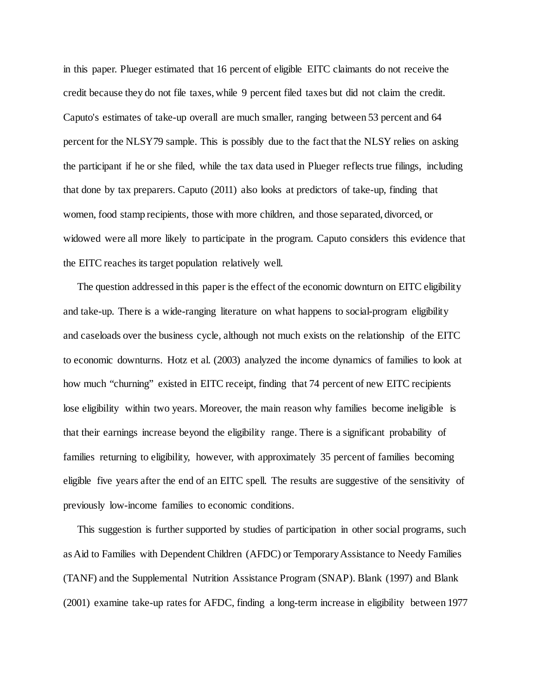in this paper. Plueger estimated that 16 percent of eligible EITC claimants do not receive the credit because they do not file taxes, while 9 percent filed taxes but did not claim the credit. Caputo's estimates of take-up overall are much smaller, ranging between 53 percent and 64 percent for the NLSY79 sample. This is possibly due to the fact that the NLSY relies on asking the participant if he or she filed, while the tax data used in Plueger reflects true filings, including that done by tax preparers. Caputo (2011) also looks at predictors of take-up, finding that women, food stamp recipients, those with more children, and those separated, divorced, or widowed were all more likely to participate in the program. Caputo considers this evidence that the EITC reaches its target population relatively well.

The question addressed in this paper is the effect of the economic downturn on EITC eligibility and take-up. There is a wide-ranging literature on what happens to social-program eligibility and caseloads over the business cycle, although not much exists on the relationship of the EITC to economic downturns. Hotz et al. (2003) analyzed the income dynamics of families to look at how much "churning" existed in EITC receipt, finding that 74 percent of new EITC recipients lose eligibility within two years. Moreover, the main reason why families become ineligible is that their earnings increase beyond the eligibility range. There is a significant probability of families returning to eligibility, however, with approximately 35 percent of families becoming eligible five years after the end of an EITC spell. The results are suggestive of the sensitivity of previously low-income families to economic conditions.

This suggestion is further supported by studies of participation in other social programs, such as Aid to Families with Dependent Children (AFDC) or Temporary Assistance to Needy Families (TANF) and the Supplemental Nutrition Assistance Program (SNAP). Blank (1997) and Blank (2001) examine take-up rates for AFDC, finding a long-term increase in eligibility between 1977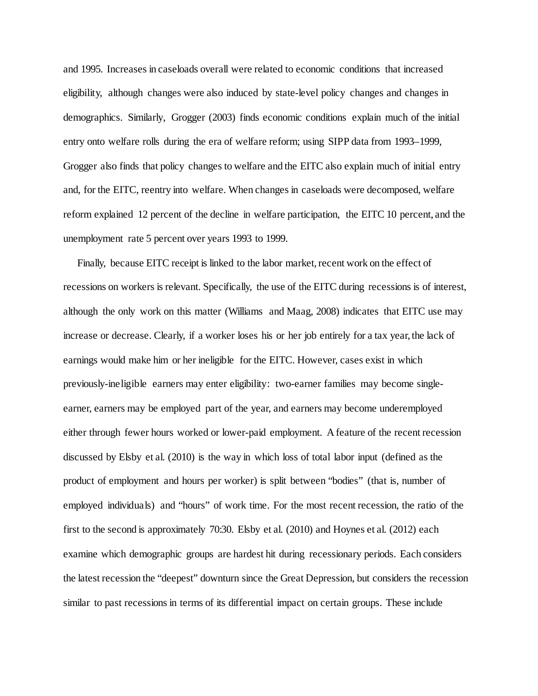and 1995. Increases in caseloads overall were related to economic conditions that increased eligibility, although changes were also induced by state-level policy changes and changes in demographics. Similarly, Grogger (2003) finds economic conditions explain much of the initial entry onto welfare rolls during the era of welfare reform; using SIPP data from 1993–1999, Grogger also finds that policy changes to welfare and the EITC also explain much of initial entry and, for the EITC, reentry into welfare. When changes in caseloads were decomposed, welfare reform explained 12 percent of the decline in welfare participation, the EITC 10 percent, and the unemployment rate 5 percent over years 1993 to 1999.

Finally, because EITC receipt is linked to the labor market, recent work on the effect of recessions on workers is relevant. Specifically, the use of the EITC during recessions is of interest, although the only work on this matter (Williams and Maag, 2008) indicates that EITC use may increase or decrease. Clearly, if a worker loses his or her job entirely for a tax year, the lack of earnings would make him or her ineligible for the EITC. However, cases exist in which previously-ineligible earners may enter eligibility: two-earner families may become singleearner, earners may be employed part of the year, and earners may become underemployed either through fewer hours worked or lower-paid employment. A feature of the recent recession discussed by Elsby et al. (2010) is the way in which loss of total labor input (defined as the product of employment and hours per worker) is split between "bodies" (that is, number of employed individuals) and "hours" of work time. For the most recent recession, the ratio of the first to the second is approximately 70:30. Elsby et al. (2010) and Hoynes et al. (2012) each examine which demographic groups are hardest hit during recessionary periods. Each considers the latest recession the "deepest" downturn since the Great Depression, but considers the recession similar to past recessions in terms of its differential impact on certain groups. These include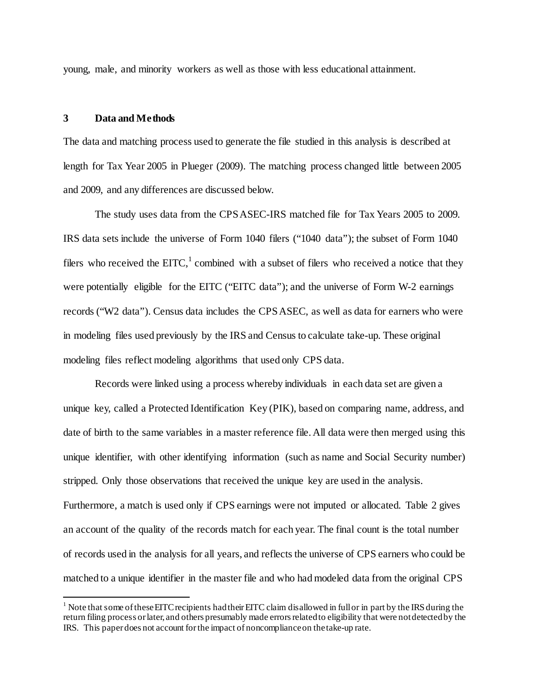young, male, and minority workers as well as those with less educational attainment.

## **3 Data and Methods**

 $\overline{a}$ 

The data and matching process used to generate the file studied in this analysis is described at length for Tax Year 2005 in Plueger (2009). The matching process changed little between 2005 and 2009, and any differences are discussed below.

The study uses data from the CPS ASEC-IRS matched file for Tax Years 2005 to 2009. IRS data sets include the universe of Form 1040 filers ("1040 data"); the subset of Form 1040 filers who received the EITC,<sup>[1](#page-8-0)</sup> combined with a subset of filers who received a notice that they were potentially eligible for the EITC ("EITC data"); and the universe of Form W-2 earnings records ("W2 data"). Census data includes the CPS ASEC, as well as data for earners who were in modeling files used previously by the IRS and Census to calculate take-up. These original modeling files reflect modeling algorithms that used only CPS data.

Records were linked using a process whereby individuals in each data set are given a unique key, called a Protected Identification Key (PIK), based on comparing name, address, and date of birth to the same variables in a master reference file. All data were then merged using this unique identifier, with other identifying information (such as name and Social Security number) stripped. Only those observations that received the unique key are used in the analysis. Furthermore, a match is used only if CPS earnings were not imputed or allocated. Table 2 gives an account of the quality of the records match for each year. The final count is the total number of records used in the analysis for all years, and reflects the universe of CPS earners who could be matched to a unique identifier in the master file and who had modeled data from the original CPS

<span id="page-8-0"></span><sup>&</sup>lt;sup>1</sup> Note that some of these EITC recipients had their EITC claim disallowed in full or in part by the IRS during the return filing process or later, and others presumably made errors related to eligibility that were not detected by the IRS. This paper does not account for the impact of noncompliance on the take-up rate.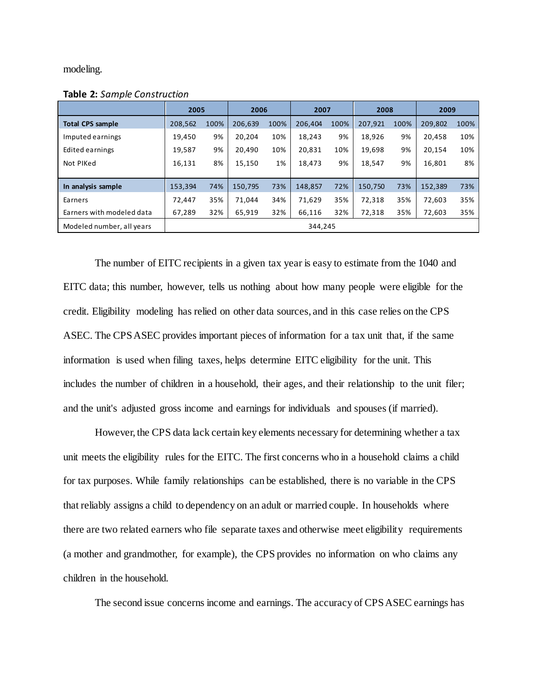modeling.

|                           | 2005    |         |         | 2006 |         | 2007 |         | 2008 |         | 2009 |  |
|---------------------------|---------|---------|---------|------|---------|------|---------|------|---------|------|--|
| <b>Total CPS sample</b>   | 208,562 | 100%    | 206,639 | 100% | 206,404 | 100% | 207,921 | 100% | 209,802 | 100% |  |
| Imputed earnings          | 19,450  | 9%      | 20.204  | 10%  | 18,243  | 9%   | 18,926  | 9%   | 20.458  | 10%  |  |
| Edited earnings           | 19,587  | 9%      | 20.490  | 10%  | 20,831  | 10%  | 19,698  | 9%   | 20,154  | 10%  |  |
| Not PIKed                 | 16,131  | 8%      | 15.150  | 1%   | 18,473  | 9%   | 18.547  | 9%   | 16,801  | 8%   |  |
|                           |         |         |         |      |         |      |         |      |         |      |  |
| In analysis sample        | 153,394 | 74%     | 150,795 | 73%  | 148,857 | 72%  | 150,750 | 73%  | 152,389 | 73%  |  |
| Earners                   | 72,447  | 35%     | 71.044  | 34%  | 71,629  | 35%  | 72,318  | 35%  | 72,603  | 35%  |  |
| Earners with modeled data | 67,289  | 32%     | 65,919  | 32%  | 66,116  | 32%  | 72,318  | 35%  | 72,603  | 35%  |  |
| Modeled number, all years |         | 344,245 |         |      |         |      |         |      |         |      |  |

**Table 2:** *Sample Construction*

The number of EITC recipients in a given tax year is easy to estimate from the 1040 and EITC data; this number, however, tells us nothing about how many people were eligible for the credit. Eligibility modeling has relied on other data sources, and in this case relies on the CPS ASEC. The CPS ASEC provides important pieces of information for a tax unit that, if the same information is used when filing taxes, helps determine EITC eligibility for the unit. This includes the number of children in a household, their ages, and their relationship to the unit filer; and the unit's adjusted gross income and earnings for individuals and spouses (if married).

However, the CPS data lack certain key elements necessary for determining whether a tax unit meets the eligibility rules for the EITC. The first concerns who in a household claims a child for tax purposes. While family relationships can be established, there is no variable in the CPS that reliably assigns a child to dependency on an adult or married couple. In households where there are two related earners who file separate taxes and otherwise meet eligibility requirements (a mother and grandmother, for example), the CPS provides no information on who claims any children in the household.

The second issue concerns income and earnings. The accuracy of CPS ASEC earnings has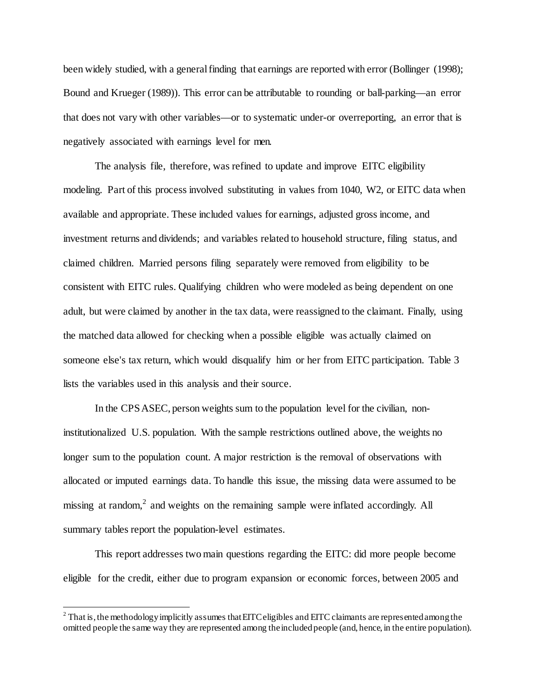been widely studied, with a general finding that earnings are reported with error (Bollinger (1998); Bound and Krueger (1989)). This error can be attributable to rounding or ball-parking—an error that does not vary with other variables—or to systematic under-or overreporting, an error that is negatively associated with earnings level for men.

The analysis file, therefore, was refined to update and improve EITC eligibility modeling. Part of this process involved substituting in values from 1040, W2, or EITC data when available and appropriate. These included values for earnings, adjusted gross income, and investment returns and dividends; and variables related to household structure, filing status, and claimed children. Married persons filing separately were removed from eligibility to be consistent with EITC rules. Qualifying children who were modeled as being dependent on one adult, but were claimed by another in the tax data, were reassigned to the claimant. Finally, using the matched data allowed for checking when a possible eligible was actually claimed on someone else's tax return, which would disqualify him or her from EITC participation. Table 3 lists the variables used in this analysis and their source.

In the CPS ASEC, person weights sum to the population level for the civilian, noninstitutionalized U.S. population. With the sample restrictions outlined above, the weights no longer sum to the population count. A major restriction is the removal of observations with allocated or imputed earnings data. To handle this issue, the missing data were assumed to be missing at random, $<sup>2</sup>$  $<sup>2</sup>$  $<sup>2</sup>$  and weights on the remaining sample were inflated accordingly. All</sup> summary tables report the population-level estimates.

This report addresses two main questions regarding the EITC: did more people become eligible for the credit, either due to program expansion or economic forces, between 2005 and

 $\overline{a}$ 

<span id="page-10-0"></span> $^2$  That is, the methodology implicitly assumes that EITC eligibles and EITC claimants are represented among the omitted people the same way they are represented among the included people (and, hence, in the entire population).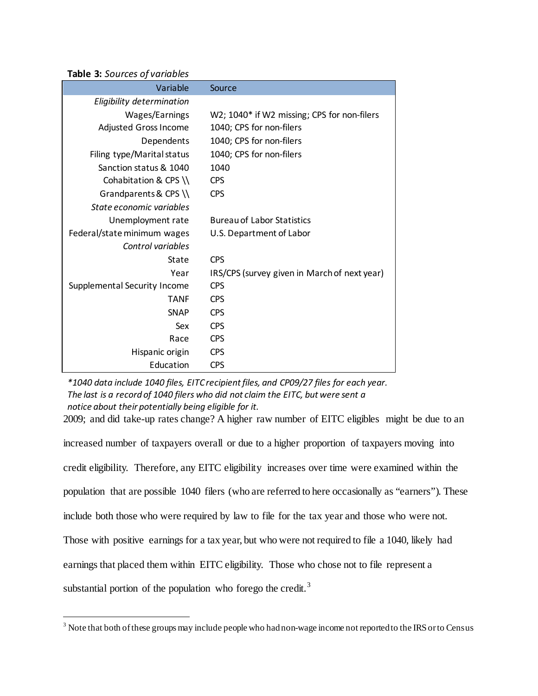## **Table 3:** *Sources of variables*

l

| Variable                     | Source                                       |
|------------------------------|----------------------------------------------|
| Eligibility determination    |                                              |
| Wages/Earnings               | W2; 1040* if W2 missing; CPS for non-filers  |
| Adjusted Gross Income        | 1040; CPS for non-filers                     |
| Dependents                   | 1040; CPS for non-filers                     |
| Filing type/Marital status   | 1040; CPS for non-filers                     |
| Sanction status & 1040       | 1040                                         |
| Cohabitation & CPS \\        | <b>CPS</b>                                   |
| Grandparents & CPS \\        | <b>CPS</b>                                   |
| State economic variables     |                                              |
| Unemployment rate            | <b>Bureau of Labor Statistics</b>            |
| Federal/state minimum wages  | U.S. Department of Labor                     |
| Control variables            |                                              |
| State                        | <b>CPS</b>                                   |
| Year                         | IRS/CPS (survey given in March of next year) |
| Supplemental Security Income | <b>CPS</b>                                   |
| <b>TANF</b>                  | <b>CPS</b>                                   |
| <b>SNAP</b>                  | <b>CPS</b>                                   |
| Sex                          | <b>CPS</b>                                   |
| Race                         | <b>CPS</b>                                   |
| Hispanic origin              | <b>CPS</b>                                   |
| Education                    | <b>CPS</b>                                   |

*\*1040 data include 1040 files, EITC recipient files, and CP09/27 files for each year. The last is a record of 1040 filers who did not claim the EITC, but were sent a notice about their potentially being eligible for it.* 

2009; and did take-up rates change? A higher raw number of EITC eligibles might be due to an increased number of taxpayers overall or due to a higher proportion of taxpayers moving into credit eligibility. Therefore, any EITC eligibility increases over time were examined within the population that are possible 1040 filers (who are referred to here occasionally as "earners"). These include both those who were required by law to file for the tax year and those who were not. Those with positive earnings for a tax year, but who were not required to file a 1040, likely had earnings that placed them within EITC eligibility. Those who chose not to file represent a substantial portion of the population who forego the credit.<sup>[3](#page-11-0)</sup>

<span id="page-11-0"></span> $^3$  Note that both of these groups may include people who had non-wage income not reported to the IRS or to Census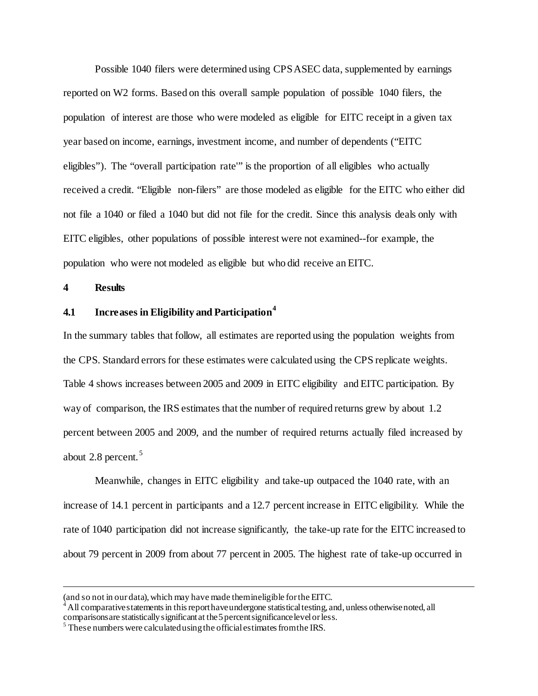Possible 1040 filers were determined using CPS ASEC data, supplemented by earnings reported on W2 forms. Based on this overall sample population of possible 1040 filers, the population of interest are those who were modeled as eligible for EITC receipt in a given tax year based on income, earnings, investment income, and number of dependents ("EITC eligibles"). The "overall participation rate'" is the proportion of all eligibles who actually received a credit. "Eligible non-filers" are those modeled as eligible for the EITC who either did not file a 1040 or filed a 1040 but did not file for the credit. Since this analysis deals only with EITC eligibles, other populations of possible interest were not examined--for example, the population who were not modeled as eligible but who did receive an EITC.

**4 Results** 

 $\overline{a}$ 

## **4.1 Increases in Eligibility and Participation[4](#page-12-0)**

In the summary tables that follow, all estimates are reported using the population weights from the CPS. Standard errors for these estimates were calculated using the CPS replicate weights. Table 4 shows increases between 2005 and 2009 in EITC eligibility and EITC participation. By way of comparison, the IRS estimates that the number of required returns grew by about 1.2 percent between 2005 and 2009, and the number of required returns actually filed increased by about 2.8 percent.<sup>[5](#page-12-1)</sup>

Meanwhile, changes in EITC eligibility and take-up outpaced the 1040 rate, with an increase of 14.1 percent in participants and a 12.7 percent increase in EITC eligibility. While the rate of 1040 participation did not increase significantly, the take-up rate for the EITC increased to about 79 percent in 2009 from about 77 percent in 2005. The highest rate of take-up occurred in

<sup>(</sup>and so not in our data), which may have made them ineligible for the EITC.

<span id="page-12-0"></span><sup>4</sup> All comparative statements in this report have undergone statistical testing, and, unless otherwise noted, all comparisons are statistically significant at the 5 percent significance level or less. <sup>5</sup> These numbers were calculated using the official estimates from the IRS.

<span id="page-12-1"></span>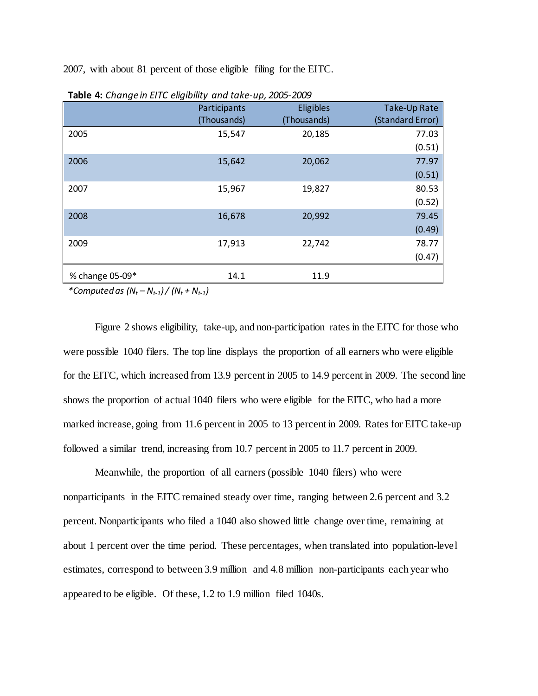2007, with about 81 percent of those eligible filing for the EITC.

|                 | Participants<br>(Thousands) | . .<br><b>Eligibles</b><br>(Thousands) | Take-Up Rate<br>(Standard Error) |
|-----------------|-----------------------------|----------------------------------------|----------------------------------|
| 2005            | 15,547                      | 20,185                                 | 77.03<br>(0.51)                  |
| 2006            | 15,642                      | 20,062                                 | 77.97<br>(0.51)                  |
| 2007            | 15,967                      | 19,827                                 | 80.53<br>(0.52)                  |
| 2008            | 16,678                      | 20,992                                 | 79.45<br>(0.49)                  |
| 2009            | 17,913                      | 22,742                                 | 78.77<br>(0.47)                  |
| % change 05-09* | 14.1                        | 11.9                                   |                                  |

**Table 4:** *Change in EITC eligibility and take-up, 2005-2009*

*\*Computed as*  $(N_t - N_{t-1}) / (N_t + N_{t-1})$ 

Figure 2 shows eligibility, take-up, and non-participation rates in the EITC for those who were possible 1040 filers. The top line displays the proportion of all earners who were eligible for the EITC, which increased from 13.9 percent in 2005 to 14.9 percent in 2009. The second line shows the proportion of actual 1040 filers who were eligible for the EITC, who had a more marked increase, going from 11.6 percent in 2005 to 13 percent in 2009. Rates for EITC take-up followed a similar trend, increasing from 10.7 percent in 2005 to 11.7 percent in 2009.

Meanwhile, the proportion of all earners (possible 1040 filers) who were nonparticipants in the EITC remained steady over time, ranging between 2.6 percent and 3.2 percent. Nonparticipants who filed a 1040 also showed little change over time, remaining at about 1 percent over the time period. These percentages, when translated into population-level estimates, correspond to between 3.9 million and 4.8 million non-participants each year who appeared to be eligible. Of these, 1.2 to 1.9 million filed 1040s.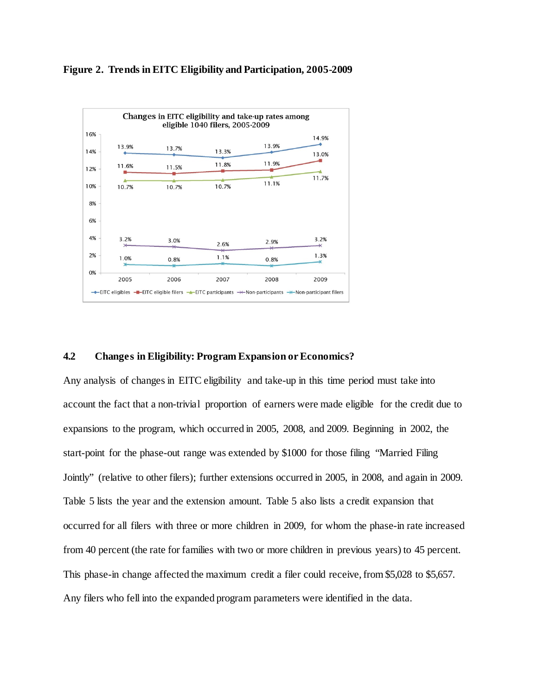



## **4.2 Changes in Eligibility: Program Expansion or Economics?**

Any analysis of changes in EITC eligibility and take-up in this time period must take into account the fact that a non-trivial proportion of earners were made eligible for the credit due to expansions to the program, which occurred in 2005, 2008, and 2009. Beginning in 2002, the start-point for the phase-out range was extended by \$1000 for those filing "Married Filing Jointly" (relative to other filers); further extensions occurred in 2005, in 2008, and again in 2009. Table 5 lists the year and the extension amount. Table 5 also lists a credit expansion that occurred for all filers with three or more children in 2009, for whom the phase-in rate increased from 40 percent (the rate for families with two or more children in previous years) to 45 percent. This phase-in change affected the maximum credit a filer could receive, from \$5,028 to \$5,657. Any filers who fell into the expanded program parameters were identified in the data.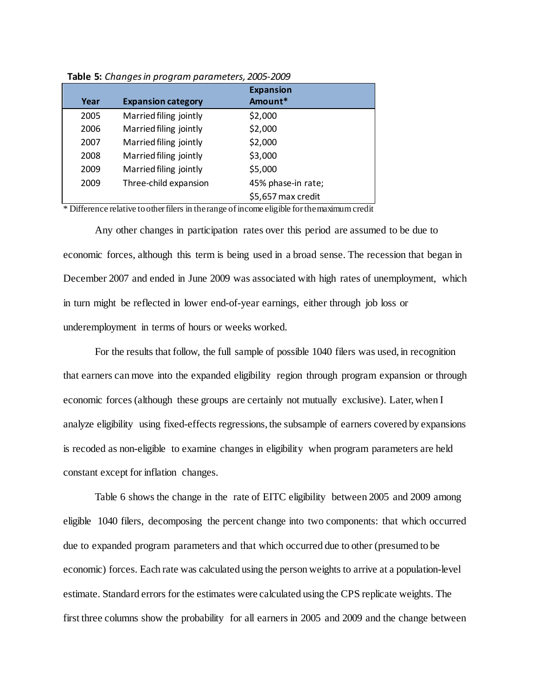|      |                           | <b>Expansion</b>   |
|------|---------------------------|--------------------|
| Year | <b>Expansion category</b> | Amount*            |
| 2005 | Married filing jointly    | \$2,000            |
| 2006 | Married filing jointly    | \$2,000            |
| 2007 | Married filing jointly    | \$2,000            |
| 2008 | Married filing jointly    | \$3,000            |
| 2009 | Married filing jointly    | \$5,000            |
| 2009 | Three-child expansion     | 45% phase-in rate; |
|      |                           | \$5,657 max credit |

**Table 5:** *Changes in program parameters, 2005-2009*

\* Difference relative to other filers in the range of income eligible for the maximum credit

Any other changes in participation rates over this period are assumed to be due to economic forces, although this term is being used in a broad sense. The recession that began in December 2007 and ended in June 2009 was associated with high rates of unemployment, which in turn might be reflected in lower end-of-year earnings, either through job loss or underemployment in terms of hours or weeks worked.

For the results that follow, the full sample of possible 1040 filers was used, in recognition that earners can move into the expanded eligibility region through program expansion or through economic forces (although these groups are certainly not mutually exclusive). Later, when I analyze eligibility using fixed-effects regressions, the subsample of earners covered by expansions is recoded as non-eligible to examine changes in eligibility when program parameters are held constant except for inflation changes.

Table 6 shows the change in the rate of EITC eligibility between 2005 and 2009 among eligible 1040 filers, decomposing the percent change into two components: that which occurred due to expanded program parameters and that which occurred due to other (presumed to be economic) forces. Each rate was calculated using the person weights to arrive at a population-level estimate. Standard errors for the estimates were calculated using the CPS replicate weights. The first three columns show the probability for all earners in 2005 and 2009 and the change between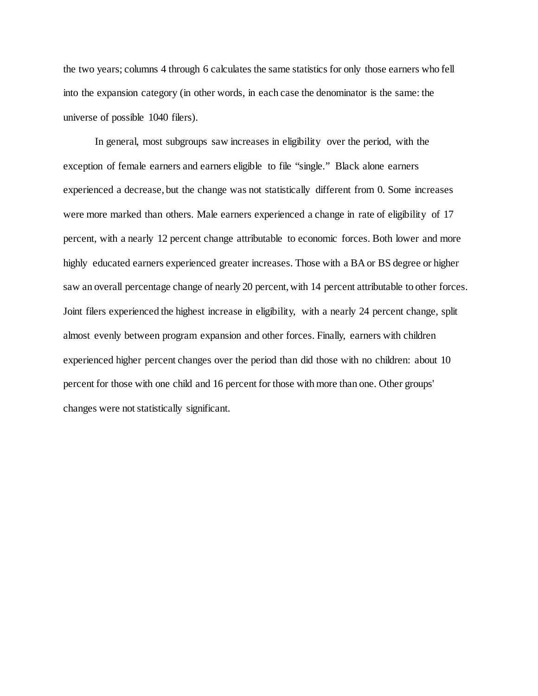the two years; columns 4 through 6 calculates the same statistics for only those earners who fell into the expansion category (in other words, in each case the denominator is the same: the universe of possible 1040 filers).

In general, most subgroups saw increases in eligibility over the period, with the exception of female earners and earners eligible to file "single." Black alone earners experienced a decrease, but the change was not statistically different from 0. Some increases were more marked than others. Male earners experienced a change in rate of eligibility of 17 percent, with a nearly 12 percent change attributable to economic forces. Both lower and more highly educated earners experienced greater increases. Those with a BA or BS degree or higher saw an overall percentage change of nearly 20 percent, with 14 percent attributable to other forces. Joint filers experienced the highest increase in eligibility, with a nearly 24 percent change, split almost evenly between program expansion and other forces. Finally, earners with children experienced higher percent changes over the period than did those with no children: about 10 percent for those with one child and 16 percent for those with more than one. Other groups' changes were not statistically significant.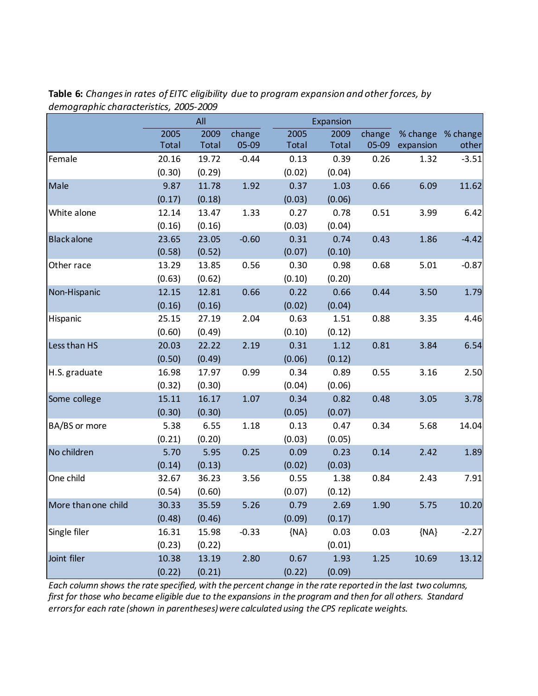|                     |        | All    |         |        | Expansion |        |           |          |
|---------------------|--------|--------|---------|--------|-----------|--------|-----------|----------|
|                     | 2005   | 2009   | change  | 2005   | 2009      | change | % change  | % change |
|                     | Total  | Total  | 05-09   | Total  | Total     | 05-09  | expansion | other    |
| Female              | 20.16  | 19.72  | $-0.44$ | 0.13   | 0.39      | 0.26   | 1.32      | $-3.51$  |
|                     | (0.30) | (0.29) |         | (0.02) | (0.04)    |        |           |          |
| Male                | 9.87   | 11.78  | 1.92    | 0.37   | 1.03      | 0.66   | 6.09      | 11.62    |
|                     | (0.17) | (0.18) |         | (0.03) | (0.06)    |        |           |          |
| White alone         | 12.14  | 13.47  | 1.33    | 0.27   | 0.78      | 0.51   | 3.99      | 6.42     |
|                     | (0.16) | (0.16) |         | (0.03) | (0.04)    |        |           |          |
| <b>Black alone</b>  | 23.65  | 23.05  | $-0.60$ | 0.31   | 0.74      | 0.43   | 1.86      | $-4.42$  |
|                     | (0.58) | (0.52) |         | (0.07) | (0.10)    |        |           |          |
| Other race          | 13.29  | 13.85  | 0.56    | 0.30   | 0.98      | 0.68   | 5.01      | $-0.87$  |
|                     | (0.63) | (0.62) |         | (0.10) | (0.20)    |        |           |          |
| Non-Hispanic        | 12.15  | 12.81  | 0.66    | 0.22   | 0.66      | 0.44   | 3.50      | 1.79     |
|                     | (0.16) | (0.16) |         | (0.02) | (0.04)    |        |           |          |
| Hispanic            | 25.15  | 27.19  | 2.04    | 0.63   | 1.51      | 0.88   | 3.35      | 4.46     |
|                     | (0.60) | (0.49) |         | (0.10) | (0.12)    |        |           |          |
| Less than HS        | 20.03  | 22.22  | 2.19    | 0.31   | 1.12      | 0.81   | 3.84      | 6.54     |
|                     | (0.50) | (0.49) |         | (0.06) | (0.12)    |        |           |          |
| H.S. graduate       | 16.98  | 17.97  | 0.99    | 0.34   | 0.89      | 0.55   | 3.16      | 2.50     |
|                     | (0.32) | (0.30) |         | (0.04) | (0.06)    |        |           |          |
| Some college        | 15.11  | 16.17  | 1.07    | 0.34   | 0.82      | 0.48   | 3.05      | 3.78     |
|                     | (0.30) | (0.30) |         | (0.05) | (0.07)    |        |           |          |
| BA/BS or more       | 5.38   | 6.55   | 1.18    | 0.13   | 0.47      | 0.34   | 5.68      | 14.04    |
|                     | (0.21) | (0.20) |         | (0.03) | (0.05)    |        |           |          |
| No children         | 5.70   | 5.95   | 0.25    | 0.09   | 0.23      | 0.14   | 2.42      | 1.89     |
|                     | (0.14) | (0.13) |         | (0.02) | (0.03)    |        |           |          |
| One child           | 32.67  | 36.23  | 3.56    | 0.55   | 1.38      | 0.84   | 2.43      | 7.91     |
|                     | (0.54) | (0.60) |         | (0.07) | (0.12)    |        |           |          |
| More than one child | 30.33  | 35.59  | 5.26    | 0.79   | 2.69      | 1.90   | 5.75      | 10.20    |
|                     | (0.48) | (0.46) |         | (0.09) | (0.17)    |        |           |          |
| Single filer        | 16.31  | 15.98  | $-0.33$ | ${NA}$ | 0.03      | 0.03   | ${NA}$    | $-2.27$  |
|                     | (0.23) | (0.22) |         |        | (0.01)    |        |           |          |
| Joint filer         | 10.38  | 13.19  | 2.80    | 0.67   | 1.93      | 1.25   | 10.69     | 13.12    |
|                     | (0.22) | (0.21) |         | (0.22) | (0.09)    |        |           |          |

**Table 6:** *Changes in rates of EITC eligibility due to program expansion and other forces, by demographic characteristics, 2005-2009*

*Each column shows the rate specified, with the percent change in the rate reported in the last two columns, first for those who became eligible due to the expansions in the program and then for all others. Standard errors for each rate (shown in parentheses) were calculated using the CPS replicate weights.*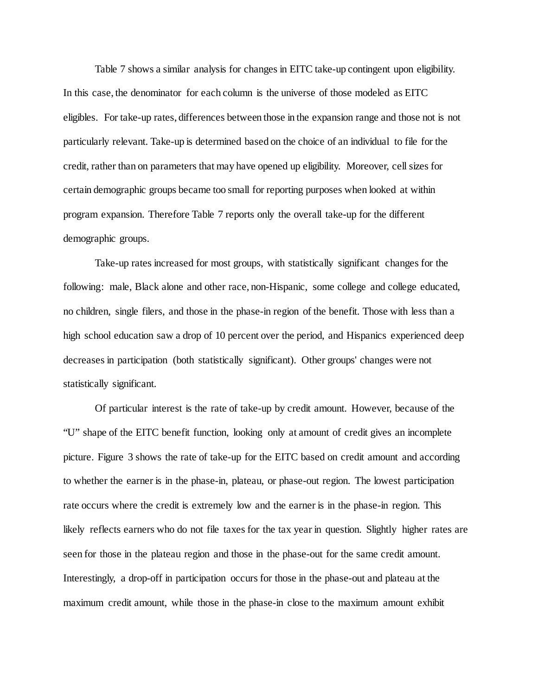Table 7 shows a similar analysis for changes in EITC take-up contingent upon eligibility. In this case, the denominator for each column is the universe of those modeled as EITC eligibles. For take-up rates, differences between those in the expansion range and those not is not particularly relevant. Take-up is determined based on the choice of an individual to file for the credit, rather than on parameters that may have opened up eligibility. Moreover, cell sizes for certain demographic groups became too small for reporting purposes when looked at within program expansion. Therefore Table 7 reports only the overall take-up for the different demographic groups.

Take-up rates increased for most groups, with statistically significant changes for the following: male, Black alone and other race, non-Hispanic, some college and college educated, no children, single filers, and those in the phase-in region of the benefit. Those with less than a high school education saw a drop of 10 percent over the period, and Hispanics experienced deep decreases in participation (both statistically significant). Other groups' changes were not statistically significant.

Of particular interest is the rate of take-up by credit amount. However, because of the "U" shape of the EITC benefit function, looking only at amount of credit gives an incomplete picture. Figure 3 shows the rate of take-up for the EITC based on credit amount and according to whether the earner is in the phase-in, plateau, or phase-out region. The lowest participation rate occurs where the credit is extremely low and the earner is in the phase-in region. This likely reflects earners who do not file taxes for the tax year in question. Slightly higher rates are seen for those in the plateau region and those in the phase-out for the same credit amount. Interestingly, a drop-off in participation occurs for those in the phase-out and plateau at the maximum credit amount, while those in the phase-in close to the maximum amount exhibit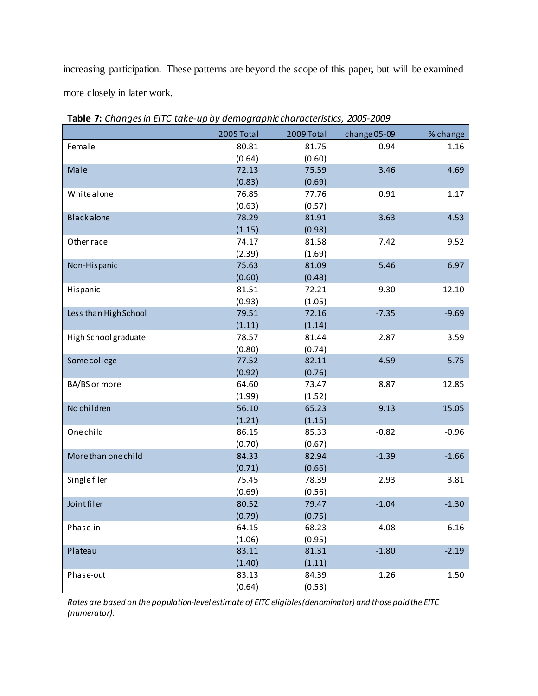increasing participation. These patterns are beyond the scope of this paper, but will be examined more closely in later work.

|                       | 2005 Total | 2009 Total | change 05-09 | % change |
|-----------------------|------------|------------|--------------|----------|
| Female                | 80.81      | 81.75      | 0.94         | 1.16     |
|                       | (0.64)     | (0.60)     |              |          |
| Male                  | 72.13      | 75.59      | 3.46         | 4.69     |
|                       | (0.83)     | (0.69)     |              |          |
| Whitealone            | 76.85      | 77.76      | 0.91         | 1.17     |
|                       | (0.63)     | (0.57)     |              |          |
| <b>Black alone</b>    | 78.29      | 81.91      | 3.63         | 4.53     |
|                       | (1.15)     | (0.98)     |              |          |
| Other race            | 74.17      | 81.58      | 7.42         | 9.52     |
|                       | (2.39)     | (1.69)     |              |          |
| Non-Hispanic          | 75.63      | 81.09      | 5.46         | 6.97     |
|                       | (0.60)     | (0.48)     |              |          |
| Hispanic              | 81.51      | 72.21      | $-9.30$      | $-12.10$ |
|                       | (0.93)     | (1.05)     |              |          |
| Less than High School | 79.51      | 72.16      | $-7.35$      | $-9.69$  |
|                       | (1.11)     | (1.14)     |              |          |
| High School graduate  | 78.57      | 81.44      | 2.87         | 3.59     |
|                       | (0.80)     | (0.74)     |              |          |
| Some college          | 77.52      | 82.11      | 4.59         | 5.75     |
|                       | (0.92)     | (0.76)     |              |          |
| BA/BS or more         | 64.60      | 73.47      | 8.87         | 12.85    |
|                       | (1.99)     | (1.52)     |              |          |
| No children           | 56.10      | 65.23      | 9.13         | 15.05    |
|                       | (1.21)     | (1.15)     |              |          |
| Onechild              | 86.15      | 85.33      | $-0.82$      | $-0.96$  |
|                       | (0.70)     | (0.67)     |              |          |
| More than one child   | 84.33      | 82.94      | $-1.39$      | $-1.66$  |
|                       | (0.71)     | (0.66)     |              |          |
| <b>Single filer</b>   | 75.45      | 78.39      | 2.93         | 3.81     |
|                       | (0.69)     | (0.56)     |              |          |
| Joint filer           | 80.52      | 79.47      | $-1.04$      | $-1.30$  |
|                       | (0.79)     | (0.75)     |              |          |
| Phase-in              | 64.15      | 68.23      | 4.08         | 6.16     |
|                       | (1.06)     | (0.95)     |              |          |
| Plateau               | 83.11      | 81.31      | $-1.80$      | $-2.19$  |
|                       | (1.40)     | (1.11)     |              |          |
| Phase-out             | 83.13      | 84.39      | 1.26         | 1.50     |
|                       | (0.64)     | (0.53)     |              |          |

**Table 7:** *Changes in EITC take-up by demographic characteristics, 2005-2009*

*Rates are based on the population-level estimate of EITC eligibles (denominator) and those paid the EITC (numerator).*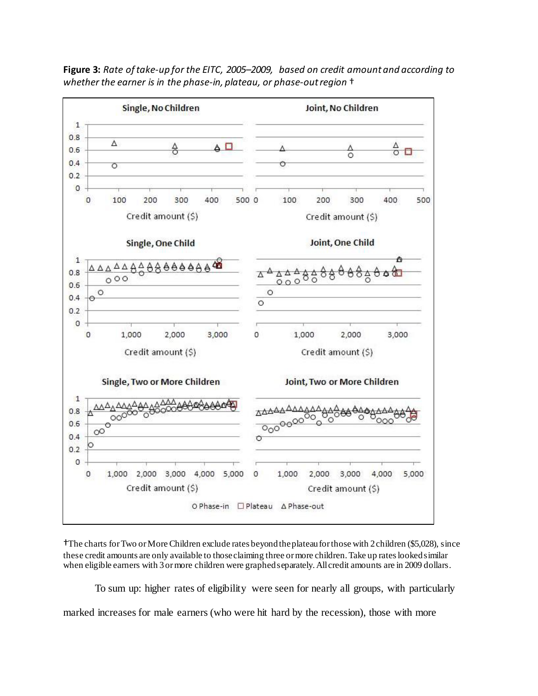

**Figure 3:** *Rate of take-up for the EITC, 2005–2009, based on credit amount and according to whether the earner is in the phase-in, plateau, or phase-out region* †

†The charts for Two or More Children exclude rates beyond the plateau for those with 2 children (\$5,028), since these credit amounts are only available to those claiming three or more children. Take up rates looked similar when eligible earners with 3 or more children were graphed separately. All credit amounts are in 2009 dollars.

To sum up: higher rates of eligibility were seen for nearly all groups, with particularly marked increases for male earners (who were hit hard by the recession), those with more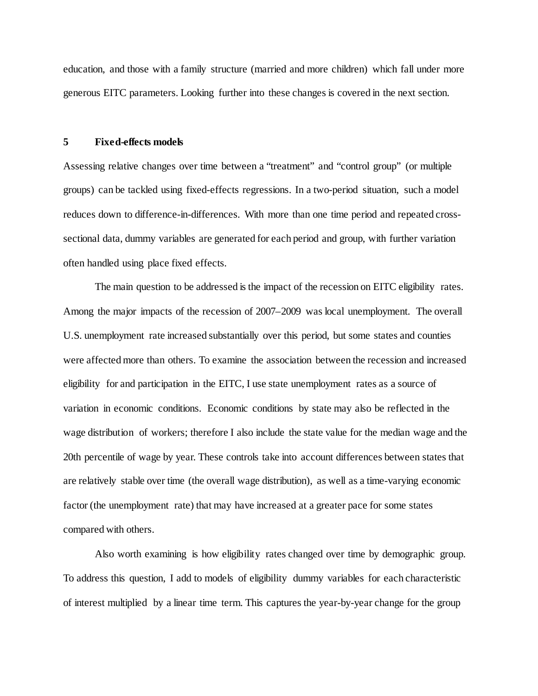education, and those with a family structure (married and more children) which fall under more generous EITC parameters. Looking further into these changes is covered in the next section.

#### **5 Fixed-effects models**

Assessing relative changes over time between a "treatment" and "control group" (or multiple groups) can be tackled using fixed-effects regressions. In a two-period situation, such a model reduces down to difference-in-differences. With more than one time period and repeated crosssectional data, dummy variables are generated for each period and group, with further variation often handled using place fixed effects.

The main question to be addressed is the impact of the recession on EITC eligibility rates. Among the major impacts of the recession of 2007–2009 was local unemployment. The overall U.S. unemployment rate increased substantially over this period, but some states and counties were affected more than others. To examine the association between the recession and increased eligibility for and participation in the EITC, I use state unemployment rates as a source of variation in economic conditions. Economic conditions by state may also be reflected in the wage distribution of workers; therefore I also include the state value for the median wage and the 20th percentile of wage by year. These controls take into account differences between states that are relatively stable over time (the overall wage distribution), as well as a time-varying economic factor (the unemployment rate) that may have increased at a greater pace for some states compared with others.

Also worth examining is how eligibility rates changed over time by demographic group. To address this question, I add to models of eligibility dummy variables for each characteristic of interest multiplied by a linear time term. This captures the year-by-year change for the group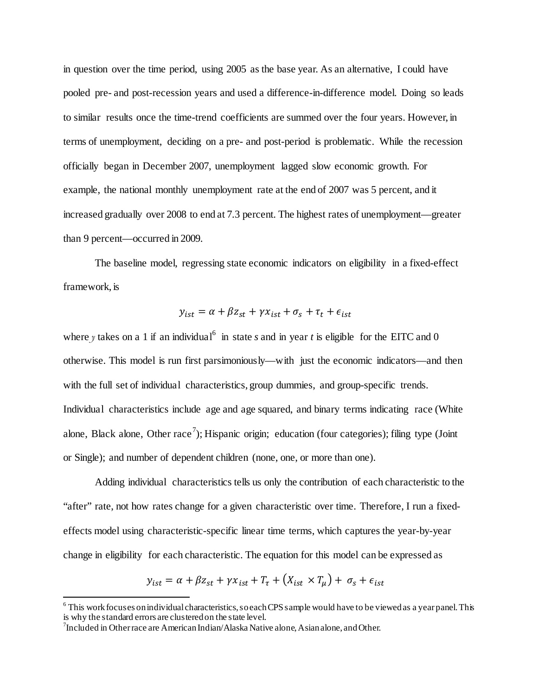in question over the time period, using 2005 as the base year. As an alternative, I could have pooled pre- and post-recession years and used a difference-in-difference model. Doing so leads to similar results once the time-trend coefficients are summed over the four years. However, in terms of unemployment, deciding on a pre- and post-period is problematic. While the recession officially began in December 2007, unemployment lagged slow economic growth. For example, the national monthly unemployment rate at the end of 2007 was 5 percent, and it increased gradually over 2008 to end at 7.3 percent. The highest rates of unemployment—greater than 9 percent—occurred in 2009.

The baseline model, regressing state economic indicators on eligibility in a fixed-effect framework, is

$$
y_{ist} = \alpha + \beta z_{st} + \gamma x_{ist} + \sigma_s + \tau_t + \epsilon_{ist}
$$

where *y* takes on a 1 if an individual<sup>[6](#page-22-0)</sup> in state *s* and in year *t* is eligible for the EITC and 0 otherwise. This model is run first parsimoniously—with just the economic indicators—and then with the full set of individual characteristics, group dummies, and group-specific trends. Individual characteristics include age and age squared, and binary terms indicating race (White alone, Black alone, Other race<sup>[7](#page-22-1)</sup>); Hispanic origin; education (four categories); filing type (Joint or Single); and number of dependent children (none, one, or more than one).

Adding individual characteristics tells us only the contribution of each characteristic to the "after" rate, not how rates change for a given characteristic over time. Therefore, I run a fixedeffects model using characteristic-specific linear time terms, which captures the year-by-year change in eligibility for each characteristic. The equation for this model can be expressed as

$$
y_{ist} = \alpha + \beta z_{st} + \gamma x_{ist} + T_{\tau} + (X_{ist} \times T_{\mu}) + \sigma_s + \epsilon_{ist}
$$

 $\overline{a}$ 

<span id="page-22-0"></span> $6$  This work focuses on individual characteristics, so each CPS sample would have to be viewed as a year panel. This is why the standard errors are clustered on the state level. <sup>7</sup>

<span id="page-22-1"></span> $\frac{1}{2}$ Included in Other race are American Indian/Alaska Native alone, Asian alone, and Other.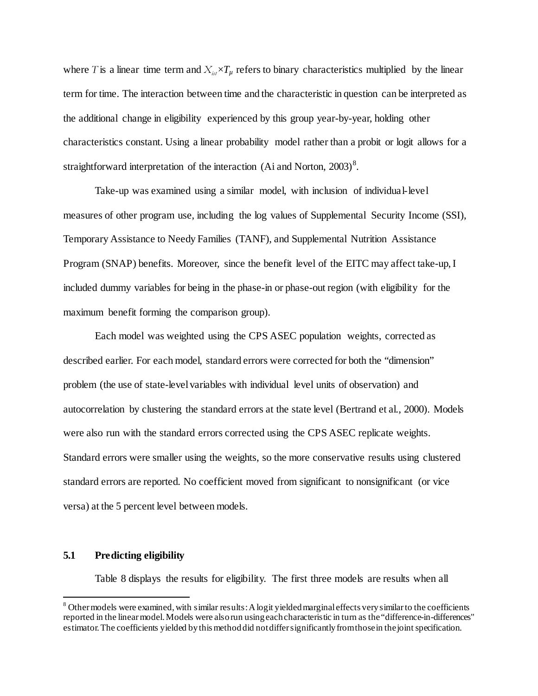where *T* is a linear time term and  $X_{i,j} \times T_{ij}$  refers to binary characteristics multiplied by the linear term for time. The interaction between time and the characteristic in question can be interpreted as the additional change in eligibility experienced by this group year-by-year, holding other characteristics constant. Using a linear probability model rather than a probit or logit allows for a straightforward interpretation of the interaction (Ai and Norton,  $2003$ )<sup>[8](#page-23-0)</sup>.

Take-up was examined using a similar model, with inclusion of individual-level measures of other program use, including the log values of Supplemental Security Income (SSI), Temporary Assistance to Needy Families (TANF), and Supplemental Nutrition Assistance Program (SNAP) benefits. Moreover, since the benefit level of the EITC may affect take-up, I included dummy variables for being in the phase-in or phase-out region (with eligibility for the maximum benefit forming the comparison group).

Each model was weighted using the CPS ASEC population weights, corrected as described earlier. For each model, standard errors were corrected for both the "dimension" problem (the use of state-level variables with individual level units of observation) and autocorrelation by clustering the standard errors at the state level (Bertrand et al., 2000). Models were also run with the standard errors corrected using the CPS ASEC replicate weights. Standard errors were smaller using the weights, so the more conservative results using clustered standard errors are reported. No coefficient moved from significant to nonsignificant (or vice versa) at the 5 percent level between models.

### **5.1 Predicting eligibility**

 $\overline{a}$ 

Table 8 displays the results for eligibility. The first three models are results when all

<span id="page-23-0"></span><sup>&</sup>lt;sup>8</sup> Other models were examined, with similar results: A logit yielded marginal effects very similar to the coefficients reported in the linear model. Models were also run using each characteristic in turn as the "difference-in-differences" estimator. The coefficients yielded by this method did not differ significantly from those in the joint specification.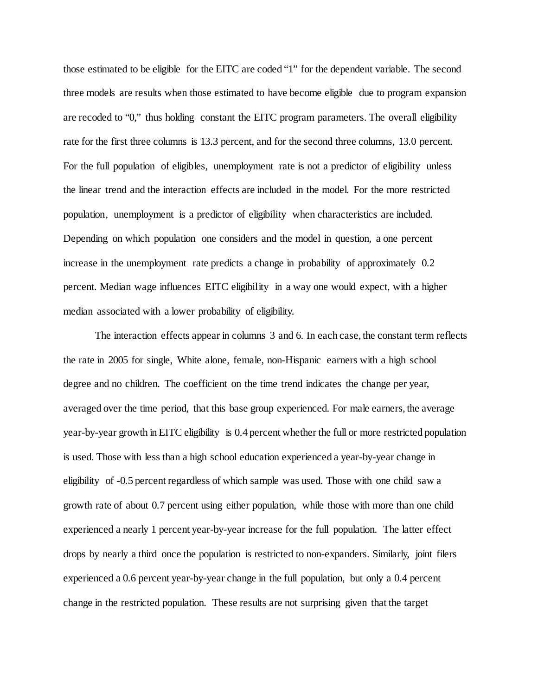those estimated to be eligible for the EITC are coded "1" for the dependent variable. The second three models are results when those estimated to have become eligible due to program expansion are recoded to "0," thus holding constant the EITC program parameters. The overall eligibility rate for the first three columns is 13.3 percent, and for the second three columns, 13.0 percent. For the full population of eligibles, unemployment rate is not a predictor of eligibility unless the linear trend and the interaction effects are included in the model. For the more restricted population, unemployment is a predictor of eligibility when characteristics are included. Depending on which population one considers and the model in question, a one percent increase in the unemployment rate predicts a change in probability of approximately 0.2 percent. Median wage influences EITC eligibility in a way one would expect, with a higher median associated with a lower probability of eligibility.

The interaction effects appear in columns 3 and 6. In each case, the constant term reflects the rate in 2005 for single, White alone, female, non-Hispanic earners with a high school degree and no children. The coefficient on the time trend indicates the change per year, averaged over the time period, that this base group experienced. For male earners, the average year-by-year growth in EITC eligibility is 0.4 percent whether the full or more restricted population is used. Those with less than a high school education experienced a year-by-year change in eligibility of -0.5 percent regardless of which sample was used. Those with one child saw a growth rate of about 0.7 percent using either population, while those with more than one child experienced a nearly 1 percent year-by-year increase for the full population. The latter effect drops by nearly a third once the population is restricted to non-expanders. Similarly, joint filers experienced a 0.6 percent year-by-year change in the full population, but only a 0.4 percent change in the restricted population. These results are not surprising given that the target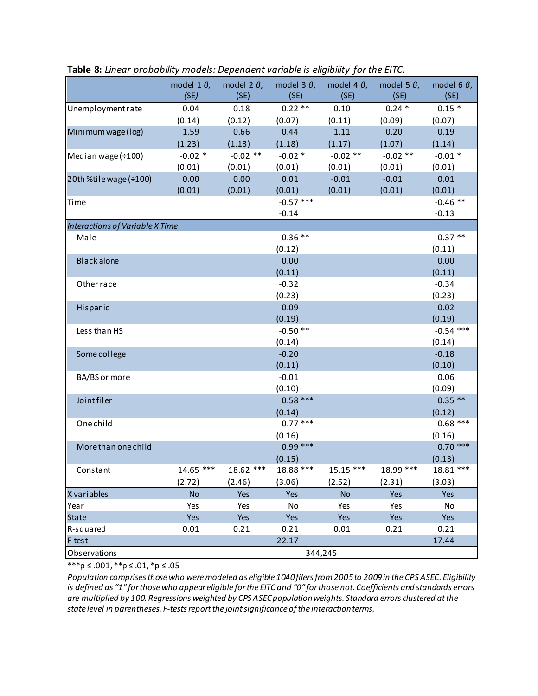|                                        | model 1 $\theta$ ,<br>(SE) | model 2 $\beta$ ,<br>(SE) | model 3 $\theta$ ,<br>(SE) | model 4 $\theta$ ,<br>(SE) | model 5 $\theta$ ,<br>(SE) | model 6 $\theta$ ,<br>(SE) |
|----------------------------------------|----------------------------|---------------------------|----------------------------|----------------------------|----------------------------|----------------------------|
| Unemployment rate                      | 0.04                       | 0.18                      | $0.22**$                   | 0.10                       | $0.24*$                    | $0.15*$                    |
|                                        | (0.14)                     | (0.12)                    | (0.07)                     | (0.11)                     | (0.09)                     | (0.07)                     |
| Minimum wage (log)                     | 1.59                       | 0.66                      | 0.44                       | 1.11                       | 0.20                       | 0.19                       |
|                                        | (1.23)                     | (1.13)                    | (1.18)                     | (1.17)                     | (1.07)                     | (1.14)                     |
| Median wage (÷100)                     | $-0.02$ *                  | $-0.02$ **                | $-0.02$ *                  | $-0.02$ **                 | $-0.02$ **                 | $-0.01*$                   |
|                                        | (0.01)                     | (0.01)                    | (0.01)                     | (0.01)                     | (0.01)                     | (0.01)                     |
| 20th %tile wage (÷100)                 | 0.00                       | 0.00                      | 0.01                       | $-0.01$                    | $-0.01$                    | 0.01                       |
|                                        | (0.01)                     | (0.01)                    | (0.01)                     | (0.01)                     | (0.01)                     | (0.01)                     |
| <b>Time</b>                            |                            |                           | $-0.57$ ***                |                            |                            | $-0.46$ **                 |
|                                        |                            |                           | $-0.14$                    |                            |                            | $-0.13$                    |
| <b>Interactions of Variable X Time</b> |                            |                           |                            |                            |                            |                            |
| Male                                   |                            |                           | $0.36**$                   |                            |                            | $0.37**$                   |
|                                        |                            |                           | (0.12)                     |                            |                            | (0.11)                     |
| <b>Blackalone</b>                      |                            |                           | 0.00                       |                            |                            | 0.00                       |
|                                        |                            |                           | (0.11)                     |                            |                            | (0.11)                     |
| Other race                             |                            |                           | $-0.32$                    |                            |                            | $-0.34$                    |
|                                        |                            |                           | (0.23)                     |                            |                            | (0.23)                     |
| Hispanic                               |                            |                           | 0.09                       |                            |                            | 0.02                       |
|                                        |                            |                           | (0.19)                     |                            |                            | (0.19)                     |
| Less than HS                           |                            |                           | $-0.50$ **                 |                            |                            | $-0.54$ ***                |
|                                        |                            |                           | (0.14)                     |                            |                            | (0.14)                     |
| Some college                           |                            |                           | $-0.20$                    |                            |                            | $-0.18$                    |
|                                        |                            |                           | (0.11)                     |                            |                            | (0.10)                     |
| BA/BS or more                          |                            |                           | $-0.01$                    |                            |                            | 0.06                       |
|                                        |                            |                           | (0.10)                     |                            |                            | (0.09)                     |
| <b>Jointfiler</b>                      |                            |                           | $0.58***$                  |                            |                            | $0.35**$                   |
|                                        |                            |                           | (0.14)                     |                            |                            | (0.12)                     |
| Onechild                               |                            |                           | $0.77***$                  |                            |                            | $0.68$ ***                 |
|                                        |                            |                           | (0.16)                     |                            |                            | (0.16)                     |
| More than one child                    |                            |                           | $0.99***$                  |                            |                            | $0.70$ ***                 |
|                                        |                            |                           | (0.15)                     |                            |                            | (0.13)                     |
| Constant                               | 14.65 ***                  | 18.62 ***                 | 18.88 ***                  | $15.15***$                 | 18.99 ***                  | 18.81 ***                  |
|                                        | (2.72)                     | (2.46)                    | (3.06)                     | (2.52)                     | (2.31)                     | (3.03)                     |
| X variables                            | <b>No</b>                  | Yes                       | Yes                        | <b>No</b>                  | Yes                        | Yes                        |
| Year                                   | Yes                        | Yes                       | No                         | Yes                        | Yes                        | No                         |
| <b>State</b>                           | Yes                        | Yes                       | Yes                        | Yes                        | Yes                        | Yes                        |
| R-squared                              | 0.01                       | 0.21                      | 0.21                       | 0.01                       | 0.21                       | 0.21                       |
| F test                                 |                            |                           | 22.17                      |                            |                            | 17.44                      |
| Observations                           |                            |                           |                            | 344,245                    |                            |                            |

**Table 8:** *Linear probability models: Dependent variable is eligibility for the EITC.*

\*\*\*p ≤ .001, \*\*p ≤ .01, \*p ≤ .05

*Population comprises those who were modeled as eligible 1040 filers from 2005 to 2009 in the CPS ASEC. Eligibility is defined as "1" for those who appear eligible for the EITC and "0" for those not. Coefficients and standards errors are multiplied by 100. Regressions weighted by CPS ASEC population weights. Standard errors clustered at the state level in parentheses. F-tests report the joint significance of the interaction terms.*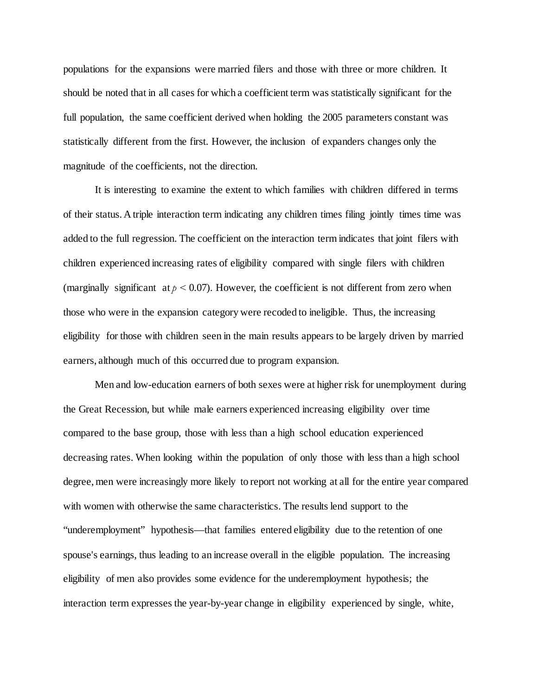populations for the expansions were married filers and those with three or more children. It should be noted that in all cases for which a coefficient term was statistically significant for the full population, the same coefficient derived when holding the 2005 parameters constant was statistically different from the first. However, the inclusion of expanders changes only the magnitude of the coefficients, not the direction.

It is interesting to examine the extent to which families with children differed in terms of their status. A triple interaction term indicating any children times filing jointly times time was added to the full regression. The coefficient on the interaction term indicates that joint filers with children experienced increasing rates of eligibility compared with single filers with children (marginally significant at  $p < 0.07$ ). However, the coefficient is not different from zero when those who were in the expansion category were recoded to ineligible. Thus, the increasing eligibility for those with children seen in the main results appears to be largely driven by married earners, although much of this occurred due to program expansion.

Men and low-education earners of both sexes were at higher risk for unemployment during the Great Recession, but while male earners experienced increasing eligibility over time compared to the base group, those with less than a high school education experienced decreasing rates. When looking within the population of only those with less than a high school degree, men were increasingly more likely to report not working at all for the entire year compared with women with otherwise the same characteristics. The results lend support to the "underemployment" hypothesis—that families entered eligibility due to the retention of one spouse's earnings, thus leading to an increase overall in the eligible population. The increasing eligibility of men also provides some evidence for the underemployment hypothesis; the interaction term expresses the year-by-year change in eligibility experienced by single, white,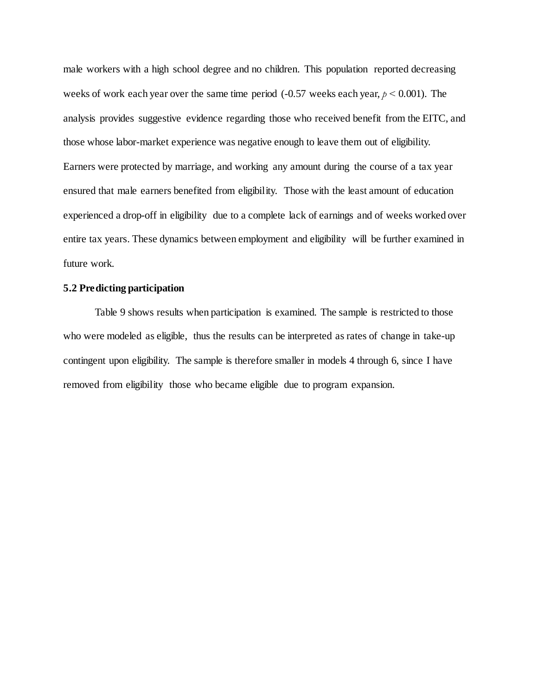male workers with a high school degree and no children. This population reported decreasing weeks of work each year over the same time period (-0.57 weeks each year, *p <* 0.001). The analysis provides suggestive evidence regarding those who received benefit from the EITC, and those whose labor-market experience was negative enough to leave them out of eligibility. Earners were protected by marriage, and working any amount during the course of a tax year ensured that male earners benefited from eligibility. Those with the least amount of education experienced a drop-off in eligibility due to a complete lack of earnings and of weeks worked over entire tax years. These dynamics between employment and eligibility will be further examined in future work.

## **5.2 Predicting participation**

Table 9 shows results when participation is examined. The sample is restricted to those who were modeled as eligible, thus the results can be interpreted as rates of change in take-up contingent upon eligibility. The sample is therefore smaller in models 4 through 6, since I have removed from eligibility those who became eligible due to program expansion.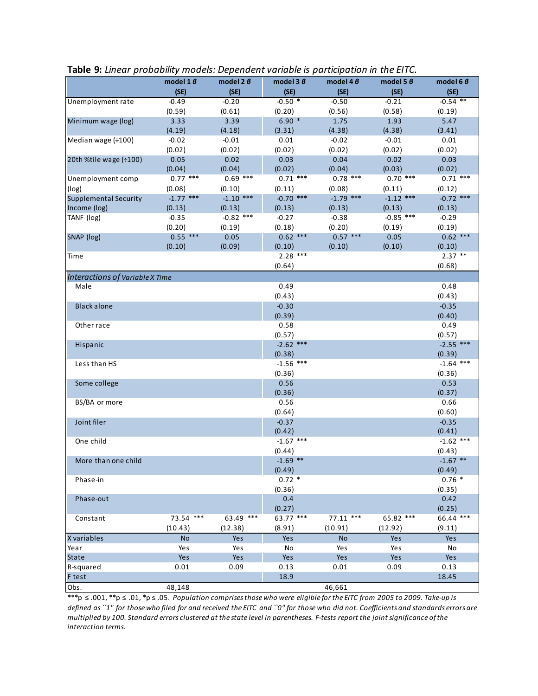|                                 | model $16$  | model $2 \theta$ |                       | model 4 $\beta$ | model 5 $\beta$ | model 6 $6$           |
|---------------------------------|-------------|------------------|-----------------------|-----------------|-----------------|-----------------------|
|                                 | (SE)        | (SE)             | (SE)                  | (SE)            | (SE)            | (SE)                  |
| Unemployment rate               | $-0.49$     | $-0.20$          | $-0.50$ *             | $-0.50$         | $-0.21$         | $-0.54$ **            |
|                                 | (0.59)      | (0.61)           | (0.20)                | (0.56)          | (0.58)          | (0.19)                |
| Minimum wage (log)              | 3.33        | 3.39             | $6.90*$               | 1.75            | 1.93            | 5.47                  |
|                                 | (4.19)      | (4.18)           | (3.31)                | (4.38)          | (4.38)          | (3.41)                |
| Median wage (÷100)              | $-0.02$     | $-0.01$          | 0.01                  | $-0.02$         | $-0.01$         | 0.01                  |
|                                 | (0.02)      | (0.02)           | (0.02)                | (0.02)          | (0.02)          | (0.02)                |
| 20th %tile wage (÷100)          | 0.05        | 0.02             | 0.03                  | 0.04            | 0.02            | 0.03                  |
|                                 | (0.04)      | (0.04)           | (0.02)                | (0.04)          | (0.03)          | (0.02)                |
| Unemployment comp               | $0.77***$   | $0.69$ ***       | $0.71$ ***            | $0.78$ ***      | $0.70$ ***      | $0.71$ ***            |
| (log)                           | (0.08)      | (0.10)           | (0.11)                | (0.08)          | (0.11)          | (0.12)                |
| <b>Supplemental Security</b>    | $-1.77$ *** | $-1.10$ ***      | $-0.70$ ***           | $-1.79$ ***     | $-1.12$ ***     | $-0.72$ ***           |
| Income (log)                    | (0.13)      | (0.13)           | (0.13)                | (0.13)          | (0.13)          | (0.13)                |
| TANF (log)                      | $-0.35$     | $-0.82$ ***      | $-0.27$               | $-0.38$         | $-0.85$ ***     | $-0.29$               |
|                                 | (0.20)      | (0.19)           | (0.18)                | (0.20)          | (0.19)          | (0.19)                |
| SNAP (log)                      | $0.55$ ***  | 0.05             | $0.62$ ***            | $0.57$ ***      | 0.05            | $0.62$ ***            |
|                                 | (0.10)      | (0.09)           | (0.10)                | (0.10)          | (0.10)          | (0.10)                |
| Time                            |             |                  | $2.28$ ***            |                 |                 | $2.37$ **             |
|                                 |             |                  | (0.64)                |                 |                 | (0.68)                |
| Interactions of Variable X Time |             |                  |                       |                 |                 |                       |
| Male                            |             |                  | 0.49                  |                 |                 | 0.48                  |
|                                 |             |                  | (0.43)                |                 |                 | (0.43)                |
| <b>Black alone</b>              |             |                  | $-0.30$               |                 |                 | $-0.35$               |
|                                 |             |                  | (0.39)                |                 |                 | (0.40)                |
| Other race                      |             |                  | 0.58                  |                 |                 | 0.49                  |
|                                 |             |                  | (0.57)                |                 |                 | (0.57)                |
| Hispanic                        |             |                  | $-2.62$ ***<br>(0.38) |                 |                 | $-2.55$ ***<br>(0.39) |
| Less than HS                    |             |                  | $-1.56$ ***           |                 |                 | $-1.64$ ***           |
|                                 |             |                  | (0.36)                |                 |                 | (0.36)                |
| Some college                    |             |                  | 0.56                  |                 |                 | 0.53                  |
|                                 |             |                  | (0.36)                |                 |                 | (0.37)                |
| BS/BA or more                   |             |                  | 0.56                  |                 |                 | 0.66                  |
|                                 |             |                  | (0.64)                |                 |                 | (0.60)                |
| Joint filer                     |             |                  | $-0.37$               |                 |                 | $-0.35$               |
|                                 |             |                  | (0.42)                |                 |                 | (0.41)                |
| One child                       |             |                  | $-1.67$ ***           |                 |                 | $-1.62$ ***           |
|                                 |             |                  | (0.44)                |                 |                 | (0.43)                |
| More than one child             |             |                  | $-1.69$ **            |                 |                 | $-1.67$ **            |
|                                 |             |                  | (0.49)                |                 |                 | (0.49)                |
| Phase-in                        |             |                  | $0.72*$               |                 |                 | $0.76*$               |
|                                 |             |                  | (0.36)                |                 |                 | (0.35)                |
| Phase-out                       |             |                  | 0.4                   |                 |                 | 0.42                  |
|                                 |             |                  | (0.27)                |                 |                 | (0.25)                |
| Constant                        | 73.54 ***   | 63.49 ***        | 63.77 ***             | $77.11$ ***     | 65.82 ***       | 66.44 ***             |
|                                 | (10.43)     | (12.38)          | (8.91)                | (10.91)         | (12.92)         | (9.11)                |
| X variables                     | <b>No</b>   | Yes              | Yes                   | <b>No</b>       | Yes             | Yes                   |
| Year                            | Yes         | Yes              | No                    | Yes             | Yes             | No                    |
| State                           | Yes         | Yes              | Yes                   | Yes             | Yes             | Yes                   |
| R-squared                       | 0.01        | 0.09             | 0.13                  | 0.01            | 0.09            | 0.13                  |
| F test                          |             |                  | 18.9                  |                 |                 | 18.45                 |
| Obs.                            | 48,148      |                  |                       | 46,661          |                 |                       |

# **Table 9:** *Linear probability models: Dependent variable is participation in the EITC.*

\*\*\*p ≤ .001, \*\*p ≤ .01, \*p ≤ .05. *Population comprises those who were eligible for the EITC from 2005 to 2009. Take-up is defined as ``1'' for those who filed for and received the EITC and ``0'' for those who did not. Coefficients and standards errors are multiplied by 100. Standard errors clustered at the state level in parentheses. F-tests report the joint significance of the interaction terms.*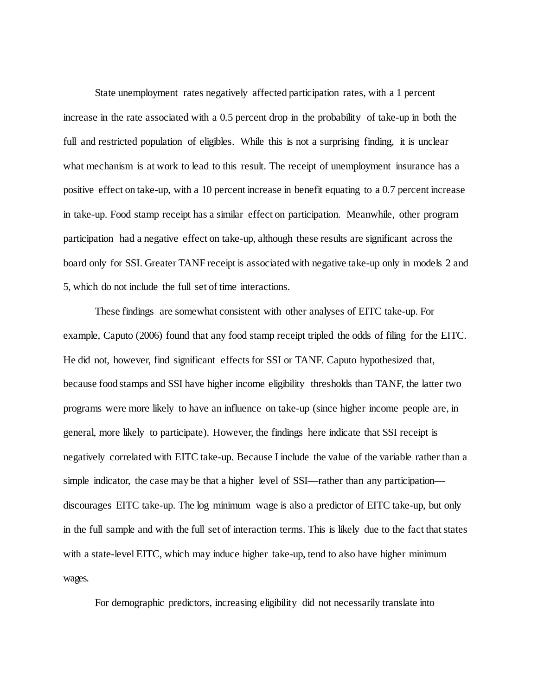State unemployment rates negatively affected participation rates, with a 1 percent increase in the rate associated with a 0.5 percent drop in the probability of take-up in both the full and restricted population of eligibles. While this is not a surprising finding, it is unclear what mechanism is at work to lead to this result. The receipt of unemployment insurance has a positive effect on take-up, with a 10 percent increase in benefit equating to a 0.7 percent increase in take-up. Food stamp receipt has a similar effect on participation. Meanwhile, other program participation had a negative effect on take-up, although these results are significant across the board only for SSI. Greater TANF receipt is associated with negative take-up only in models 2 and 5, which do not include the full set of time interactions.

These findings are somewhat consistent with other analyses of EITC take-up. For example, Caputo (2006) found that any food stamp receipt tripled the odds of filing for the EITC. He did not, however, find significant effects for SSI or TANF. Caputo hypothesized that, because food stamps and SSI have higher income eligibility thresholds than TANF, the latter two programs were more likely to have an influence on take-up (since higher income people are, in general, more likely to participate). However, the findings here indicate that SSI receipt is negatively correlated with EITC take-up. Because I include the value of the variable rather than a simple indicator, the case may be that a higher level of SSI—rather than any participation discourages EITC take-up. The log minimum wage is also a predictor of EITC take-up, but only in the full sample and with the full set of interaction terms. This is likely due to the fact that states with a state-level EITC, which may induce higher take-up, tend to also have higher minimum wages.

For demographic predictors, increasing eligibility did not necessarily translate into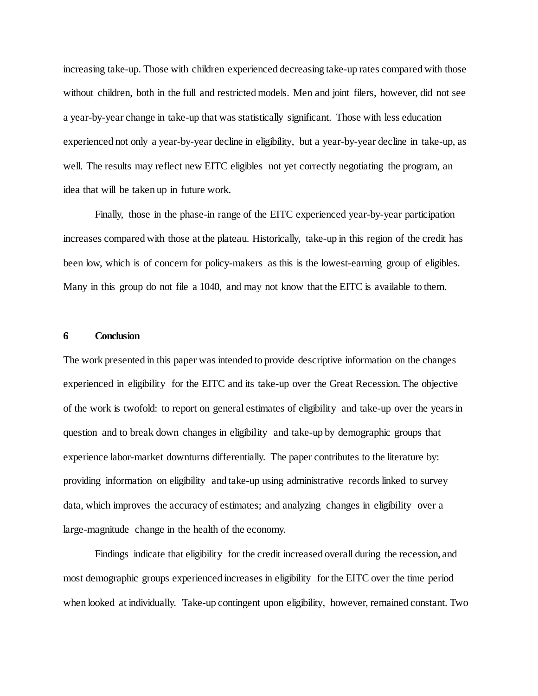increasing take-up. Those with children experienced decreasing take-up rates compared with those without children, both in the full and restricted models. Men and joint filers, however, did not see a year-by-year change in take-up that was statistically significant. Those with less education experienced not only a year-by-year decline in eligibility, but a year-by-year decline in take-up, as well. The results may reflect new EITC eligibles not yet correctly negotiating the program, an idea that will be taken up in future work.

Finally, those in the phase-in range of the EITC experienced year-by-year participation increases compared with those at the plateau. Historically, take-up in this region of the credit has been low, which is of concern for policy-makers as this is the lowest-earning group of eligibles. Many in this group do not file a 1040, and may not know that the EITC is available to them.

#### **6 Conclusion**

The work presented in this paper was intended to provide descriptive information on the changes experienced in eligibility for the EITC and its take-up over the Great Recession. The objective of the work is twofold: to report on general estimates of eligibility and take-up over the years in question and to break down changes in eligibility and take-up by demographic groups that experience labor-market downturns differentially. The paper contributes to the literature by: providing information on eligibility and take-up using administrative records linked to survey data, which improves the accuracy of estimates; and analyzing changes in eligibility over a large-magnitude change in the health of the economy.

Findings indicate that eligibility for the credit increased overall during the recession, and most demographic groups experienced increases in eligibility for the EITC over the time period when looked at individually. Take-up contingent upon eligibility, however, remained constant. Two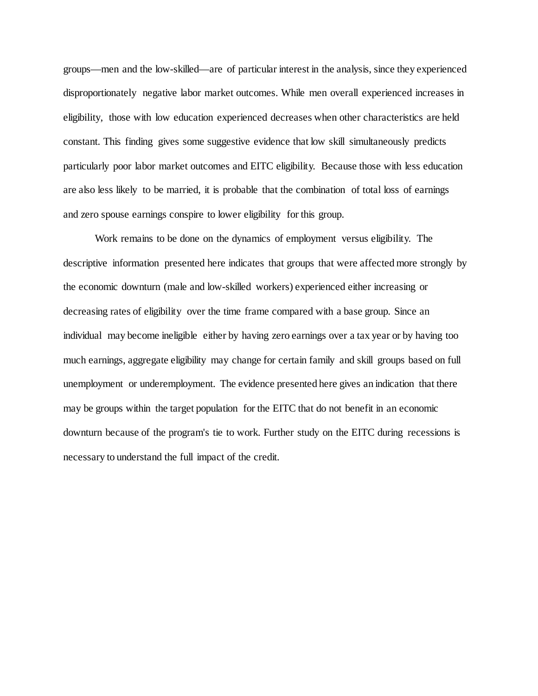groups—men and the low-skilled—are of particular interest in the analysis, since they experienced disproportionately negative labor market outcomes. While men overall experienced increases in eligibility, those with low education experienced decreases when other characteristics are held constant. This finding gives some suggestive evidence that low skill simultaneously predicts particularly poor labor market outcomes and EITC eligibility. Because those with less education are also less likely to be married, it is probable that the combination of total loss of earnings and zero spouse earnings conspire to lower eligibility for this group.

Work remains to be done on the dynamics of employment versus eligibility. The descriptive information presented here indicates that groups that were affected more strongly by the economic downturn (male and low-skilled workers) experienced either increasing or decreasing rates of eligibility over the time frame compared with a base group. Since an individual may become ineligible either by having zero earnings over a tax year or by having too much earnings, aggregate eligibility may change for certain family and skill groups based on full unemployment or underemployment. The evidence presented here gives an indication that there may be groups within the target population for the EITC that do not benefit in an economic downturn because of the program's tie to work. Further study on the EITC during recessions is necessary to understand the full impact of the credit.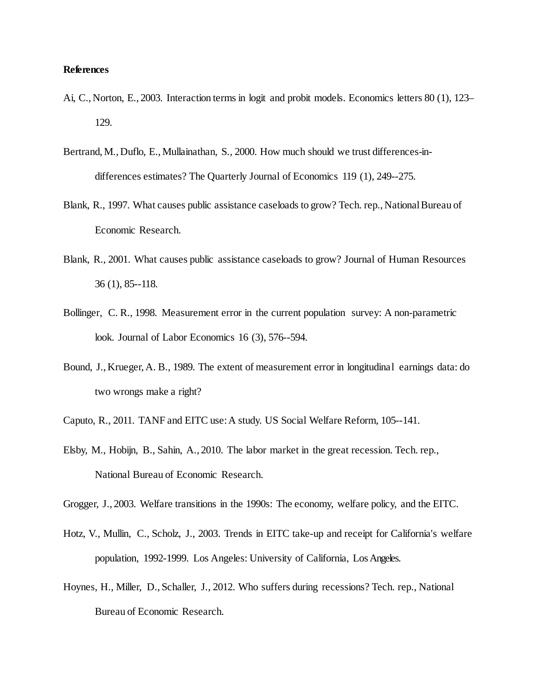### **References**

- Ai, C., Norton, E., 2003. Interaction terms in logit and probit models. Economics letters 80 (1), 123– 129.
- Bertrand, M., Duflo, E., Mullainathan, S., 2000. How much should we trust differences-indifferences estimates? The Quarterly Journal of Economics 119 (1), 249--275.
- Blank, R., 1997. What causes public assistance caseloads to grow? Tech. rep., National Bureau of Economic Research.
- Blank, R., 2001. What causes public assistance caseloads to grow? Journal of Human Resources 36 (1), 85--118.
- Bollinger, C. R., 1998. Measurement error in the current population survey: A non-parametric look. Journal of Labor Economics 16 (3), 576--594.
- Bound, J., Krueger, A. B., 1989. The extent of measurement error in longitudinal earnings data: do two wrongs make a right?
- Caputo, R., 2011. TANF and EITC use: A study. US Social Welfare Reform, 105--141.
- Elsby, M., Hobijn, B., Sahin, A., 2010. The labor market in the great recession. Tech. rep., National Bureau of Economic Research.
- Grogger, J., 2003. Welfare transitions in the 1990s: The economy, welfare policy, and the EITC.
- Hotz, V., Mullin, C., Scholz, J., 2003. Trends in EITC take-up and receipt for California's welfare population, 1992-1999. Los Angeles: University of California, Los Angeles.
- Hoynes, H., Miller, D., Schaller, J., 2012. Who suffers during recessions? Tech. rep., National Bureau of Economic Research.